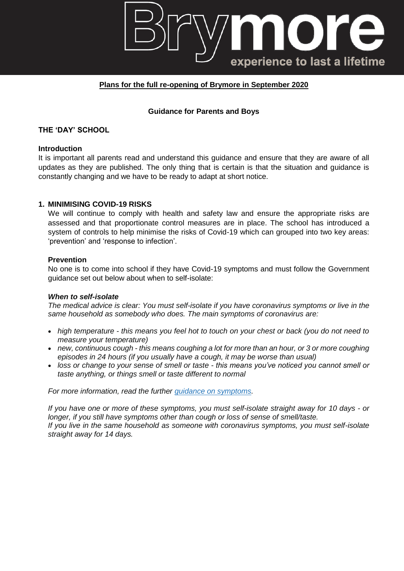

#### **Plans for the full re-opening of Brymore in September 2020**

#### **Guidance for Parents and Boys**

#### **THE 'DAY' SCHOOL**

#### **Introduction**

It is important all parents read and understand this guidance and ensure that they are aware of all updates as they are published. The only thing that is certain is that the situation and guidance is constantly changing and we have to be ready to adapt at short notice.

#### **1. MINIMISING COVID-19 RISKS**

We will continue to comply with health and safety law and ensure the appropriate risks are assessed and that proportionate control measures are in place. The school has introduced a system of controls to help minimise the risks of Covid-19 which can grouped into two key areas: 'prevention' and 'response to infection'.

#### **Prevention**

No one is to come into school if they have Covid-19 symptoms and must follow the Government guidance set out below about when to self-isolate:

#### *When to self-isolate*

*The medical advice is clear: You must self-isolate if you have coronavirus symptoms or live in the same household as somebody who does. The main symptoms of coronavirus are:*

- *high temperature - this means you feel hot to touch on your chest or back (you do not need to measure your temperature)*
- *new, continuous cough - this means coughing a lot for more than an hour, or 3 or more coughing episodes in 24 hours (if you usually have a cough, it may be worse than usual)*
- *loss or change to your sense of smell or taste - this means you've noticed you cannot smell or taste anything, or things smell or taste different to normal*

#### *For more information, read the further guidance on [symptoms.](https://www.nhs.uk/conditions/coronavirus-covid-19/check-if-you-have-coronavirus-symptoms/)*

*If you have one or more of these symptoms, you must self-isolate straight away for 10 days - or longer, if you still have symptoms other than cough or loss of sense of smell/taste. If you live in the same household as someone with coronavirus symptoms, you must self-isolate straight away for 14 days.*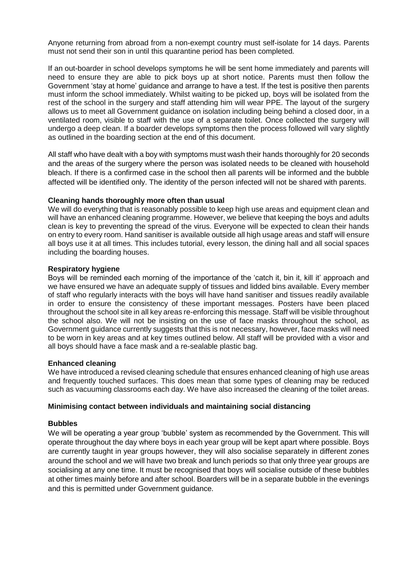Anyone returning from abroad from a non-exempt country must self-isolate for 14 days. Parents must not send their son in until this quarantine period has been completed.

If an out-boarder in school develops symptoms he will be sent home immediately and parents will need to ensure they are able to pick boys up at short notice. Parents must then follow the Government 'stay at home' guidance and arrange to have a test. If the test is positive then parents must inform the school immediately. Whilst waiting to be picked up, boys will be isolated from the rest of the school in the surgery and staff attending him will wear PPE. The layout of the surgery allows us to meet all Government guidance on isolation including being behind a closed door, in a ventilated room, visible to staff with the use of a separate toilet. Once collected the surgery will undergo a deep clean. If a boarder develops symptoms then the process followed will vary slightly as outlined in the boarding section at the end of this document.

All staff who have dealt with a boy with symptoms must wash their hands thoroughly for 20 seconds and the areas of the surgery where the person was isolated needs to be cleaned with household bleach. If there is a confirmed case in the school then all parents will be informed and the bubble affected will be identified only. The identity of the person infected will not be shared with parents.

## **Cleaning hands thoroughly more often than usual**

We will do everything that is reasonably possible to keep high use areas and equipment clean and will have an enhanced cleaning programme. However, we believe that keeping the boys and adults clean is key to preventing the spread of the virus. Everyone will be expected to clean their hands on entry to every room. Hand sanitiser is available outside all high usage areas and staff will ensure all boys use it at all times. This includes tutorial, every lesson, the dining hall and all social spaces including the boarding houses.

#### **Respiratory hygiene**

Boys will be reminded each morning of the importance of the 'catch it, bin it, kill it' approach and we have ensured we have an adequate supply of tissues and lidded bins available. Every member of staff who regularly interacts with the boys will have hand sanitiser and tissues readily available in order to ensure the consistency of these important messages. Posters have been placed throughout the school site in all key areas re-enforcing this message. Staff will be visible throughout the school also. We will not be insisting on the use of face masks throughout the school, as Government guidance currently suggests that this is not necessary, however, face masks will need to be worn in key areas and at key times outlined below. All staff will be provided with a visor and all boys should have a face mask and a re-sealable plastic bag.

## **Enhanced cleaning**

We have introduced a revised cleaning schedule that ensures enhanced cleaning of high use areas and frequently touched surfaces. This does mean that some types of cleaning may be reduced such as vacuuming classrooms each day. We have also increased the cleaning of the toilet areas.

#### **Minimising contact between individuals and maintaining social distancing**

#### **Bubbles**

We will be operating a year group 'bubble' system as recommended by the Government. This will operate throughout the day where boys in each year group will be kept apart where possible. Boys are currently taught in year groups however, they will also socialise separately in different zones around the school and we will have two break and lunch periods so that only three year groups are socialising at any one time. It must be recognised that boys will socialise outside of these bubbles at other times mainly before and after school. Boarders will be in a separate bubble in the evenings and this is permitted under Government guidance.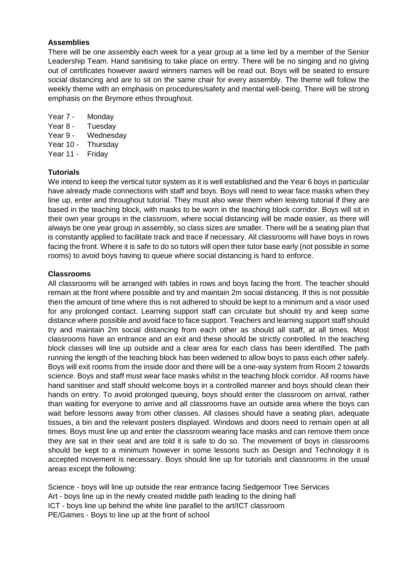# **Assemblies**

There will be one assembly each week for a year group at a time led by a member of the Senior Leadership Team. Hand sanitising to take place on entry. There will be no singing and no giving out of certificates however award winners names will be read out. Boys will be seated to ensure social distancing and are to sit on the same chair for every assembly. The theme will follow the weekly theme with an emphasis on procedures/safety and mental well-being. There will be strong emphasis on the Brymore ethos throughout.

Year 7 - Monday Year 8 - Tuesday Year 9 - Wednesday Year 10 - Thursday Year 11 - Friday

# **Tutorials**

We intend to keep the vertical tutor system as it is well established and the Year 6 boys in particular have already made connections with staff and boys. Boys will need to wear face masks when they line up, enter and throughout tutorial. They must also wear them when leaving tutorial if they are based in the teaching block, with masks to be worn in the teaching block corridor. Boys will sit in their own year groups in the classroom, where social distancing will be made easier, as there will always be one year group in assembly, so class sizes are smaller. There will be a seating plan that is constantly applied to facilitate track and trace if necessary. All classrooms will have boys in rows facing the front. Where it is safe to do so tutors will open their tutor base early (not possible in some rooms) to avoid boys having to queue where social distancing is hard to enforce.

# **Classrooms**

All classrooms will be arranged with tables in rows and boys facing the front. The teacher should remain at the front where possible and try and maintain 2m social distancing. If this is not possible then the amount of time where this is not adhered to should be kept to a minimum and a visor used for any prolonged contact. Learning support staff can circulate but should try and keep some distance where possible and avoid face to face support. Teachers and learning support staff should try and maintain 2m social distancing from each other as should all staff, at all times. Most classrooms have an entrance and an exit and these should be strictly controlled. In the teaching block classes will line up outside and a clear area for each class has been identified. The path running the length of the teaching block has been widened to allow boys to pass each other safely. Boys will exit rooms from the inside door and there will be a one-way system from Room 2 towards science. Boys and staff must wear face masks whilst in the teaching block corridor. All rooms have hand sanitiser and staff should welcome boys in a controlled manner and boys should clean their hands on entry. To avoid prolonged queuing, boys should enter the classroom on arrival, rather than waiting for everyone to arrive and all classrooms have an outside area where the boys can wait before lessons away from other classes. All classes should have a seating plan, adequate tissues, a bin and the relevant posters displayed. Windows and doors need to remain open at all times. Boys must line up and enter the classroom wearing face masks and can remove them once they are sat in their seat and are told it is safe to do so. The movement of boys in classrooms should be kept to a minimum however in some lessons such as Design and Technology it is accepted movement is necessary. Boys should line up for tutorials and classrooms in the usual areas except the following:

Science - boys will line up outside the rear entrance facing Sedgemoor Tree Services Art - boys line up in the newly created middle path leading to the dining hall ICT - boys line up behind the white line parallel to the art/ICT classroom PE/Games - Boys to line up at the front of school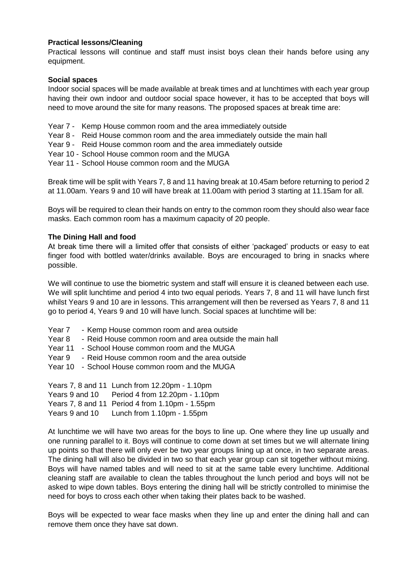## **Practical lessons/Cleaning**

Practical lessons will continue and staff must insist boys clean their hands before using any equipment.

#### **Social spaces**

Indoor social spaces will be made available at break times and at lunchtimes with each year group having their own indoor and outdoor social space however, it has to be accepted that boys will need to move around the site for many reasons. The proposed spaces at break time are:

- Year 7 Kemp House common room and the area immediately outside
- Year 8 Reid House common room and the area immediately outside the main hall
- Year 9 Reid House common room and the area immediately outside
- Year 10 School House common room and the MUGA
- Year 11 School House common room and the MUGA

Break time will be split with Years 7, 8 and 11 having break at 10.45am before returning to period 2 at 11.00am. Years 9 and 10 will have break at 11.00am with period 3 starting at 11.15am for all.

Boys will be required to clean their hands on entry to the common room they should also wear face masks. Each common room has a maximum capacity of 20 people.

#### **The Dining Hall and food**

At break time there will a limited offer that consists of either 'packaged' products or easy to eat finger food with bottled water/drinks available. Boys are encouraged to bring in snacks where possible.

We will continue to use the biometric system and staff will ensure it is cleaned between each use. We will split lunchtime and period 4 into two equal periods. Years 7, 8 and 11 will have lunch first whilst Years 9 and 10 are in lessons. This arrangement will then be reversed as Years 7, 8 and 11 go to period 4, Years 9 and 10 will have lunch. Social spaces at lunchtime will be:

- Year 7 Kemp House common room and area outside
- Year 8 Reid House common room and area outside the main hall
- Year 11 School House common room and the MUGA
- Year 9 Reid House common room and the area outside

Year 10 - School House common room and the MUGA

Years 7, 8 and 11 Lunch from 12.20pm - 1.10pm Years 9 and 10 Period 4 from 12.20pm - 1.10pm Years 7, 8 and 11 Period 4 from 1.10pm - 1.55pm Years 9 and 10 Lunch from 1.10pm - 1.55pm

At lunchtime we will have two areas for the boys to line up. One where they line up usually and one running parallel to it. Boys will continue to come down at set times but we will alternate lining up points so that there will only ever be two year groups lining up at once, in two separate areas. The dining hall will also be divided in two so that each year group can sit together without mixing. Boys will have named tables and will need to sit at the same table every lunchtime. Additional cleaning staff are available to clean the tables throughout the lunch period and boys will not be asked to wipe down tables. Boys entering the dining hall will be strictly controlled to minimise the need for boys to cross each other when taking their plates back to be washed.

Boys will be expected to wear face masks when they line up and enter the dining hall and can remove them once they have sat down.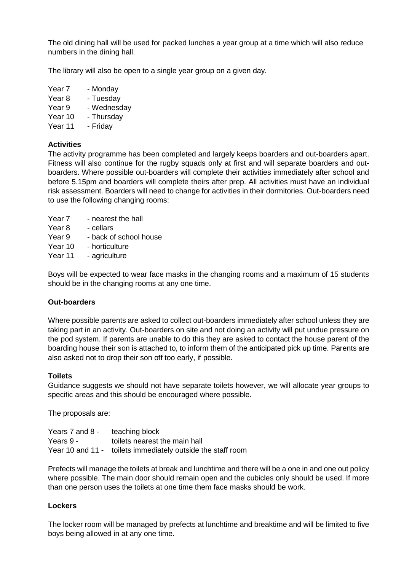The old dining hall will be used for packed lunches a year group at a time which will also reduce numbers in the dining hall.

The library will also be open to a single year group on a given day.

- Year 7 Mondav Year 8 - Tuesday Year 9 - Wednesday Year 10 - Thursday Year 11 - Friday
- 

# **Activities**

The activity programme has been completed and largely keeps boarders and out-boarders apart. Fitness will also continue for the rugby squads only at first and will separate boarders and outboarders. Where possible out-boarders will complete their activities immediately after school and before 5.15pm and boarders will complete theirs after prep. All activities must have an individual risk assessment. Boarders will need to change for activities in their dormitories. Out-boarders need to use the following changing rooms:

- Year 7 nearest the hall
- Year 8 cellars
- Year 9 back of school house
- Year 10 horticulture
- Year 11 agriculture

Boys will be expected to wear face masks in the changing rooms and a maximum of 15 students should be in the changing rooms at any one time.

## **Out-boarders**

Where possible parents are asked to collect out-boarders immediately after school unless they are taking part in an activity. Out-boarders on site and not doing an activity will put undue pressure on the pod system. If parents are unable to do this they are asked to contact the house parent of the boarding house their son is attached to, to inform them of the anticipated pick up time. Parents are also asked not to drop their son off too early, if possible.

## **Toilets**

Guidance suggests we should not have separate toilets however, we will allocate year groups to specific areas and this should be encouraged where possible.

The proposals are:

| Years 7 and 8 - | teaching block                                              |
|-----------------|-------------------------------------------------------------|
| Years 9 -       | toilets nearest the main hall                               |
|                 | Year 10 and 11 - toilets immediately outside the staff room |

Prefects will manage the toilets at break and lunchtime and there will be a one in and one out policy where possible. The main door should remain open and the cubicles only should be used. If more than one person uses the toilets at one time them face masks should be work.

## **Lockers**

The locker room will be managed by prefects at lunchtime and breaktime and will be limited to five boys being allowed in at any one time.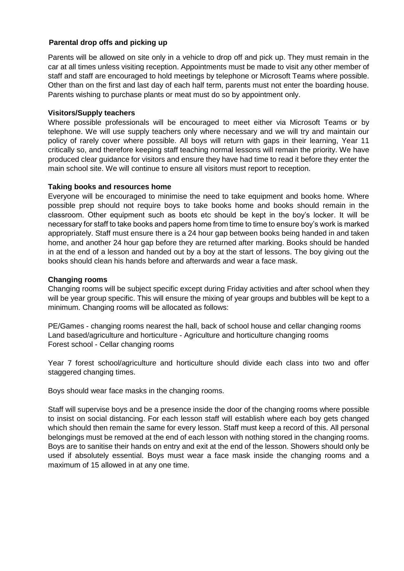# **Parental drop offs and picking up**

Parents will be allowed on site only in a vehicle to drop off and pick up. They must remain in the car at all times unless visiting reception. Appointments must be made to visit any other member of staff and staff are encouraged to hold meetings by telephone or Microsoft Teams where possible. Other than on the first and last day of each half term, parents must not enter the boarding house. Parents wishing to purchase plants or meat must do so by appointment only.

## **Visitors/Supply teachers**

Where possible professionals will be encouraged to meet either via Microsoft Teams or by telephone. We will use supply teachers only where necessary and we will try and maintain our policy of rarely cover where possible. All boys will return with gaps in their learning, Year 11 critically so, and therefore keeping staff teaching normal lessons will remain the priority. We have produced clear guidance for visitors and ensure they have had time to read it before they enter the main school site. We will continue to ensure all visitors must report to reception.

## **Taking books and resources home**

Everyone will be encouraged to minimise the need to take equipment and books home. Where possible prep should not require boys to take books home and books should remain in the classroom. Other equipment such as boots etc should be kept in the boy's locker. It will be necessary for staff to take books and papers home from time to time to ensure boy's work is marked appropriately. Staff must ensure there is a 24 hour gap between books being handed in and taken home, and another 24 hour gap before they are returned after marking. Books should be handed in at the end of a lesson and handed out by a boy at the start of lessons. The boy giving out the books should clean his hands before and afterwards and wear a face mask.

## **Changing rooms**

Changing rooms will be subject specific except during Friday activities and after school when they will be year group specific. This will ensure the mixing of year groups and bubbles will be kept to a minimum. Changing rooms will be allocated as follows:

PE/Games - changing rooms nearest the hall, back of school house and cellar changing rooms Land based/agriculture and horticulture - Agriculture and horticulture changing rooms Forest school - Cellar changing rooms

Year 7 forest school/agriculture and horticulture should divide each class into two and offer staggered changing times.

Boys should wear face masks in the changing rooms.

Staff will supervise boys and be a presence inside the door of the changing rooms where possible to insist on social distancing. For each lesson staff will establish where each boy gets changed which should then remain the same for every lesson. Staff must keep a record of this. All personal belongings must be removed at the end of each lesson with nothing stored in the changing rooms. Boys are to sanitise their hands on entry and exit at the end of the lesson. Showers should only be used if absolutely essential. Boys must wear a face mask inside the changing rooms and a maximum of 15 allowed in at any one time.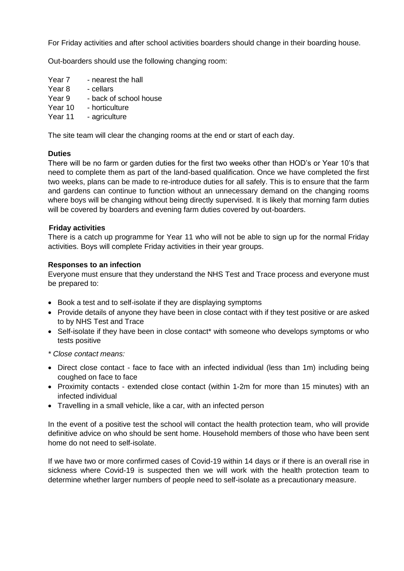For Friday activities and after school activities boarders should change in their boarding house.

Out-boarders should use the following changing room:

Year 7 - nearest the hall Year 8 - cellars Year 9 - back of school house Year 10 - horticulture Year 11 - agriculture

The site team will clear the changing rooms at the end or start of each day.

# **Duties**

There will be no farm or garden duties for the first two weeks other than HOD's or Year 10's that need to complete them as part of the land-based qualification. Once we have completed the first two weeks, plans can be made to re-introduce duties for all safely. This is to ensure that the farm and gardens can continue to function without an unnecessary demand on the changing rooms where boys will be changing without being directly supervised. It is likely that morning farm duties will be covered by boarders and evening farm duties covered by out-boarders.

# **Friday activities**

There is a catch up programme for Year 11 who will not be able to sign up for the normal Friday activities. Boys will complete Friday activities in their year groups.

## **Responses to an infection**

Everyone must ensure that they understand the NHS Test and Trace process and everyone must be prepared to:

- Book a test and to self-isolate if they are displaying symptoms
- Provide details of anyone they have been in close contact with if they test positive or are asked to by NHS Test and Trace
- Self-isolate if they have been in close contact\* with someone who develops symptoms or who tests positive

*\* Close contact means:*

- Direct close contact face to face with an infected individual (less than 1m) including being coughed on face to face
- Proximity contacts extended close contact (within 1-2m for more than 15 minutes) with an infected individual
- Travelling in a small vehicle, like a car, with an infected person

In the event of a positive test the school will contact the health protection team, who will provide definitive advice on who should be sent home. Household members of those who have been sent home do not need to self-isolate.

If we have two or more confirmed cases of Covid-19 within 14 days or if there is an overall rise in sickness where Covid-19 is suspected then we will work with the health protection team to determine whether larger numbers of people need to self-isolate as a precautionary measure.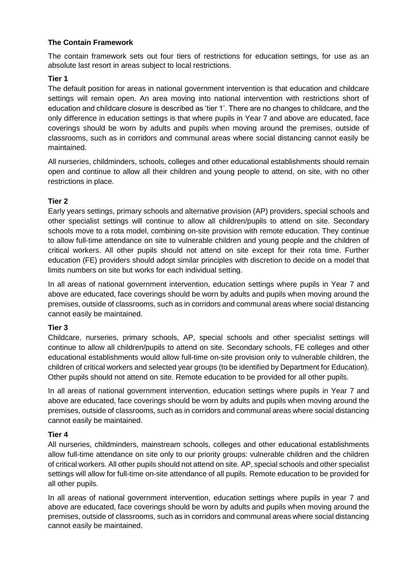# **The Contain Framework**

The contain framework sets out four tiers of restrictions for education settings, for use as an absolute last resort in areas subject to local restrictions.

# **Tier 1**

The default position for areas in national government intervention is that education and childcare settings will remain open. An area moving into national intervention with restrictions short of education and childcare closure is described as 'tier 1'. There are no changes to childcare, and the only difference in education settings is that where pupils in Year 7 and above are educated, face coverings should be worn by adults and pupils when moving around the premises, outside of classrooms, such as in corridors and communal areas where social distancing cannot easily be maintained.

All nurseries, childminders, schools, colleges and other educational establishments should remain open and continue to allow all their children and young people to attend, on site, with no other restrictions in place.

# **Tier 2**

Early years settings, primary schools and alternative provision (AP) providers, special schools and other specialist settings will continue to allow all children/pupils to attend on site. Secondary schools move to a rota model, combining on-site provision with remote education. They continue to allow full-time attendance on site to vulnerable children and young people and the children of critical workers. All other pupils should not attend on site except for their rota time. Further education (FE) providers should adopt similar principles with discretion to decide on a model that limits numbers on site but works for each individual setting.

In all areas of national government intervention, education settings where pupils in Year 7 and above are educated, face coverings should be worn by adults and pupils when moving around the premises, outside of classrooms, such as in corridors and communal areas where social distancing cannot easily be maintained.

## **Tier 3**

Childcare, nurseries, primary schools, AP, special schools and other specialist settings will continue to allow all children/pupils to attend on site. Secondary schools, FE colleges and other educational establishments would allow full-time on-site provision only to vulnerable children, the children of critical workers and selected year groups (to be identified by Department for Education). Other pupils should not attend on site. Remote education to be provided for all other pupils.

In all areas of national government intervention, education settings where pupils in Year 7 and above are educated, face coverings should be worn by adults and pupils when moving around the premises, outside of classrooms, such as in corridors and communal areas where social distancing cannot easily be maintained.

## **Tier 4**

All nurseries, childminders, mainstream schools, colleges and other educational establishments allow full-time attendance on site only to our priority groups: vulnerable children and the children of critical workers. All other pupils should not attend on site. AP, special schools and other specialist settings will allow for full-time on-site attendance of all pupils. Remote education to be provided for all other pupils.

In all areas of national government intervention, education settings where pupils in year 7 and above are educated, face coverings should be worn by adults and pupils when moving around the premises, outside of classrooms, such as in corridors and communal areas where social distancing cannot easily be maintained.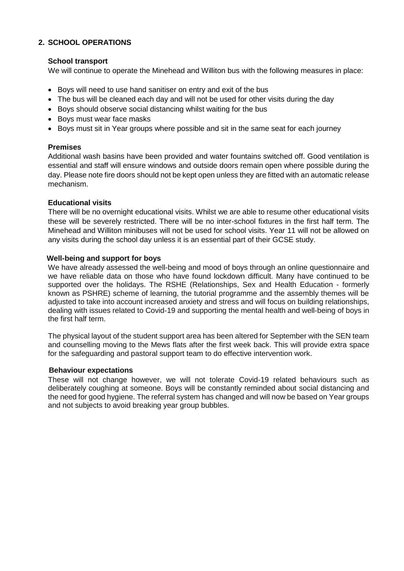# **2. SCHOOL OPERATIONS**

## **School transport**

We will continue to operate the Minehead and Williton bus with the following measures in place:

- Boys will need to use hand sanitiser on entry and exit of the bus
- The bus will be cleaned each day and will not be used for other visits during the day
- Boys should observe social distancing whilst waiting for the bus
- Boys must wear face masks
- Boys must sit in Year groups where possible and sit in the same seat for each journey

#### **Premises**

Additional wash basins have been provided and water fountains switched off. Good ventilation is essential and staff will ensure windows and outside doors remain open where possible during the day. Please note fire doors should not be kept open unless they are fitted with an automatic release mechanism.

## **Educational visits**

There will be no overnight educational visits. Whilst we are able to resume other educational visits these will be severely restricted. There will be no inter-school fixtures in the first half term. The Minehead and Williton minibuses will not be used for school visits. Year 11 will not be allowed on any visits during the school day unless it is an essential part of their GCSE study.

#### **Well-being and support for boys**

We have already assessed the well-being and mood of boys through an online questionnaire and we have reliable data on those who have found lockdown difficult. Many have continued to be supported over the holidays. The RSHE (Relationships, Sex and Health Education - formerly known as PSHRE) scheme of learning, the tutorial programme and the assembly themes will be adjusted to take into account increased anxiety and stress and will focus on building relationships, dealing with issues related to Covid-19 and supporting the mental health and well-being of boys in the first half term.

The physical layout of the student support area has been altered for September with the SEN team and counselling moving to the Mews flats after the first week back. This will provide extra space for the safeguarding and pastoral support team to do effective intervention work.

#### **Behaviour expectations**

These will not change however, we will not tolerate Covid-19 related behaviours such as deliberately coughing at someone. Boys will be constantly reminded about social distancing and the need for good hygiene. The referral system has changed and will now be based on Year groups and not subjects to avoid breaking year group bubbles.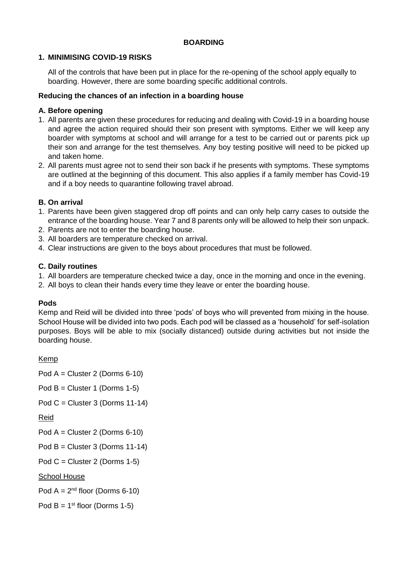# **BOARDING**

# **1. MINIMISING COVID-19 RISKS**

All of the controls that have been put in place for the re-opening of the school apply equally to boarding. However, there are some boarding specific additional controls.

# **Reducing the chances of an infection in a boarding house**

# **A. Before opening**

- 1. All parents are given these procedures for reducing and dealing with Covid-19 in a boarding house and agree the action required should their son present with symptoms. Either we will keep any boarder with symptoms at school and will arrange for a test to be carried out or parents pick up their son and arrange for the test themselves. Any boy testing positive will need to be picked up and taken home.
- 2. All parents must agree not to send their son back if he presents with symptoms. These symptoms are outlined at the beginning of this document. This also applies if a family member has Covid-19 and if a boy needs to quarantine following travel abroad.

# **B. On arrival**

- 1. Parents have been given staggered drop off points and can only help carry cases to outside the entrance of the boarding house. Year 7 and 8 parents only will be allowed to help their son unpack.
- 2. Parents are not to enter the boarding house.
- 3. All boarders are temperature checked on arrival.
- 4. Clear instructions are given to the boys about procedures that must be followed.

# **C. Daily routines**

1. All boarders are temperature checked twice a day, once in the morning and once in the evening.

2. All boys to clean their hands every time they leave or enter the boarding house.

## **Pods**

Kemp and Reid will be divided into three 'pods' of boys who will prevented from mixing in the house. School House will be divided into two pods. Each pod will be classed as a 'household' for self-isolation purposes. Boys will be able to mix (socially distanced) outside during activities but not inside the boarding house.

## Kemp

Pod A = Cluster 2 (Dorms 6-10)

Pod  $B =$  Cluster 1 (Dorms 1-5)

Pod C = Cluster 3 (Dorms 11-14)

# Reid

Pod A = Cluster 2 (Dorms 6-10)

Pod  $B =$  Cluster 3 (Dorms 11-14)

Pod C = Cluster 2 (Dorms 1-5)

School House

Pod  $A = 2^{nd}$  floor (Dorms 6-10)

Pod  $B = 1^{st}$  floor (Dorms 1-5)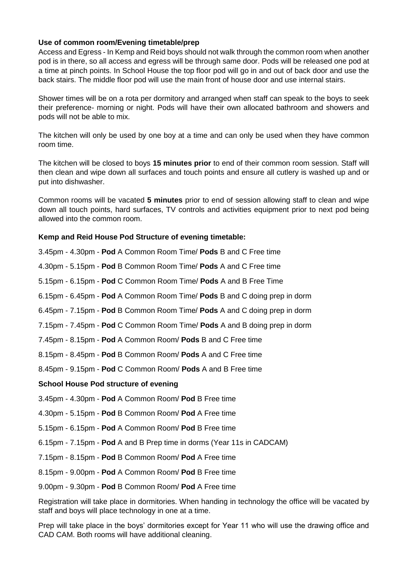## **Use of common room/Evening timetable/prep**

Access and Egress - In Kemp and Reid boys should not walk through the common room when another pod is in there, so all access and egress will be through same door. Pods will be released one pod at a time at pinch points. In School House the top floor pod will go in and out of back door and use the back stairs. The middle floor pod will use the main front of house door and use internal stairs.

Shower times will be on a rota per dormitory and arranged when staff can speak to the boys to seek their preference- morning or night. Pods will have their own allocated bathroom and showers and pods will not be able to mix.

The kitchen will only be used by one boy at a time and can only be used when they have common room time.

The kitchen will be closed to boys **15 minutes prior** to end of their common room session. Staff will then clean and wipe down all surfaces and touch points and ensure all cutlery is washed up and or put into dishwasher.

Common rooms will be vacated **5 minutes** prior to end of session allowing staff to clean and wipe down all touch points, hard surfaces, TV controls and activities equipment prior to next pod being allowed into the common room.

#### **Kemp and Reid House Pod Structure of evening timetable:**

| 3.45pm - 4.30pm - Pod A Common Room Time/ Pods B and C Free time          |
|---------------------------------------------------------------------------|
| 4.30pm - 5.15pm - Pod B Common Room Time/ Pods A and C Free time          |
| 5.15pm - 6.15pm - Pod C Common Room Time/ Pods A and B Free Time          |
| 6.15pm - 6.45pm - Pod A Common Room Time/ Pods B and C doing prep in dorm |
| 6.45pm - 7.15pm - Pod B Common Room Time/ Pods A and C doing prep in dorm |
| 7.15pm - 7.45pm - Pod C Common Room Time/ Pods A and B doing prep in dorm |
| 7.45pm - 8.15pm - Pod A Common Room/ Pods B and C Free time               |
| 8.15pm - 8.45pm - Pod B Common Room/ Pods A and C Free time               |
| 8.45pm - 9.15pm - Pod C Common Room/ Pods A and B Free time               |
| <b>School House Pod structure of evening</b>                              |
| 3.45pm - 4.30pm - Pod A Common Room/ Pod B Free time                      |
| 4.30pm - 5.15pm - Pod B Common Room/ Pod A Free time                      |
| 5.15pm - 6.15pm - Pod A Common Room/ Pod B Free time                      |
| 6.15pm - 7.15pm - Pod A and B Prep time in dorms (Year 11s in CADCAM)     |
| 7.15pm - 8.15pm - Pod B Common Room/ Pod A Free time                      |
| 8.15pm - 9.00pm - Pod A Common Room/ Pod B Free time                      |
| 9.00pm - 9.30pm - Pod B Common Room/ Pod A Free time                      |

Registration will take place in dormitories. When handing in technology the office will be vacated by staff and boys will place technology in one at a time.

Prep will take place in the boys' dormitories except for Year 11 who will use the drawing office and CAD CAM. Both rooms will have additional cleaning.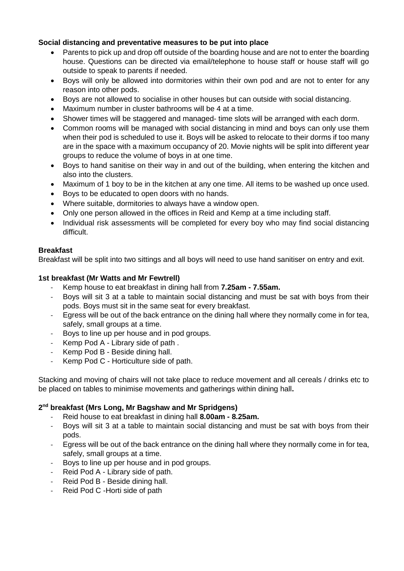# **Social distancing and preventative measures to be put into place**

- Parents to pick up and drop off outside of the boarding house and are not to enter the boarding house. Questions can be directed via email/telephone to house staff or house staff will go outside to speak to parents if needed.
- Boys will only be allowed into dormitories within their own pod and are not to enter for any reason into other pods.
- Boys are not allowed to socialise in other houses but can outside with social distancing.
- Maximum number in cluster bathrooms will be 4 at a time.
- Shower times will be staggered and managed- time slots will be arranged with each dorm.
- Common rooms will be managed with social distancing in mind and boys can only use them when their pod is scheduled to use it. Boys will be asked to relocate to their dorms if too many are in the space with a maximum occupancy of 20. Movie nights will be split into different year groups to reduce the volume of boys in at one time.
- Boys to hand sanitise on their way in and out of the building, when entering the kitchen and also into the clusters.
- Maximum of 1 boy to be in the kitchen at any one time. All items to be washed up once used.
- Boys to be educated to open doors with no hands.
- Where suitable, dormitories to always have a window open.
- Only one person allowed in the offices in Reid and Kemp at a time including staff.
- Individual risk assessments will be completed for every boy who may find social distancing difficult.

## **Breakfast**

Breakfast will be split into two sittings and all boys will need to use hand sanitiser on entry and exit.

#### **1st breakfast (Mr Watts and Mr Fewtrell)**

- Kemp house to eat breakfast in dining hall from **7.25am - 7.55am.**
- Boys will sit 3 at a table to maintain social distancing and must be sat with boys from their pods. Boys must sit in the same seat for every breakfast.
- Egress will be out of the back entrance on the dining hall where they normally come in for tea, safely, small groups at a time.
- Boys to line up per house and in pod groups.
- Kemp Pod A Library side of path.
- Kemp Pod B Beside dining hall.
- Kemp Pod C Horticulture side of path.

Stacking and moving of chairs will not take place to reduce movement and all cereals / drinks etc to be placed on tables to minimise movements and gatherings within dining hall**.**

## **2 nd breakfast (Mrs Long, Mr Bagshaw and Mr Spridgens)**

- Reid house to eat breakfast in dining hall **8.00am - 8.25am.**
- Boys will sit 3 at a table to maintain social distancing and must be sat with boys from their pods.
- Egress will be out of the back entrance on the dining hall where they normally come in for tea, safely, small groups at a time.
- Boys to line up per house and in pod groups.
- Reid Pod A Library side of path.
- Reid Pod B Beside dining hall.
- Reid Pod C -Horti side of path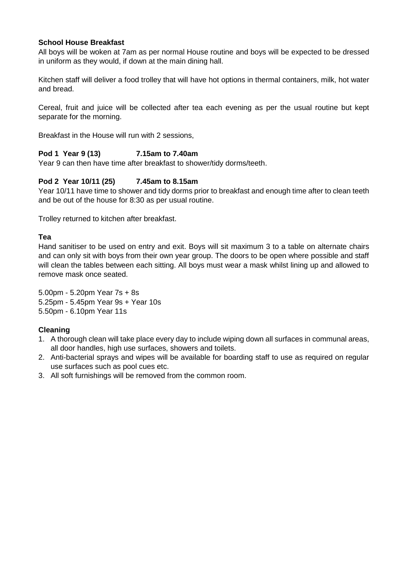## **School House Breakfast**

All boys will be woken at 7am as per normal House routine and boys will be expected to be dressed in uniform as they would, if down at the main dining hall.

Kitchen staff will deliver a food trolley that will have hot options in thermal containers, milk, hot water and bread.

Cereal, fruit and juice will be collected after tea each evening as per the usual routine but kept separate for the morning.

Breakfast in the House will run with 2 sessions,

# **Pod 1 Year 9 (13) 7.15am to 7.40am**

Year 9 can then have time after breakfast to shower/tidy dorms/teeth.

# **Pod 2 Year 10/11 (25) 7.45am to 8.15am**

Year 10/11 have time to shower and tidy dorms prior to breakfast and enough time after to clean teeth and be out of the house for 8:30 as per usual routine.

Trolley returned to kitchen after breakfast.

# **Tea**

Hand sanitiser to be used on entry and exit. Boys will sit maximum 3 to a table on alternate chairs and can only sit with boys from their own year group. The doors to be open where possible and staff will clean the tables between each sitting. All boys must wear a mask whilst lining up and allowed to remove mask once seated.

5.00pm - 5.20pm Year 7s + 8s 5.25pm - 5.45pm Year 9s + Year 10s 5.50pm - 6.10pm Year 11s

## **Cleaning**

- 1. A thorough clean will take place every day to include wiping down all surfaces in communal areas, all door handles, high use surfaces, showers and toilets.
- 2. Anti-bacterial sprays and wipes will be available for boarding staff to use as required on regular use surfaces such as pool cues etc.
- 3. All soft furnishings will be removed from the common room.